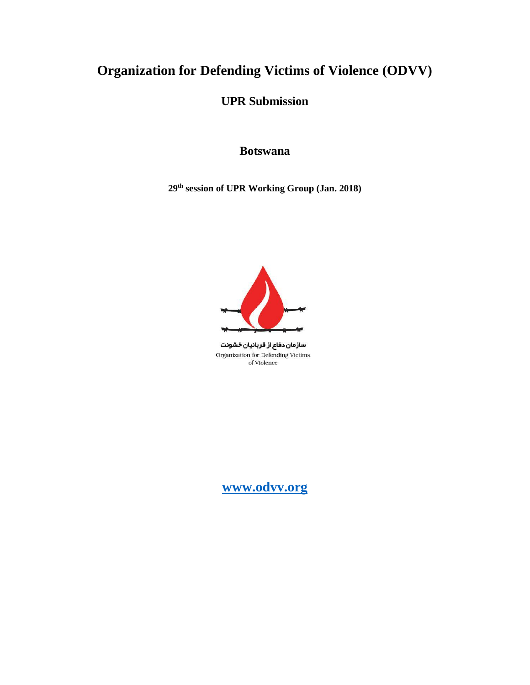# **Organization for Defending Victims of Violence (ODVV)**

**UPR Submission**

# **Botswana**

**29th session of UPR Working Group (Jan. 2018)**



سازمان دفاع از قربانیان خشونت Organization for Defending Victims of Violence

**[www.odvv.org](http://www.odvv.org/)**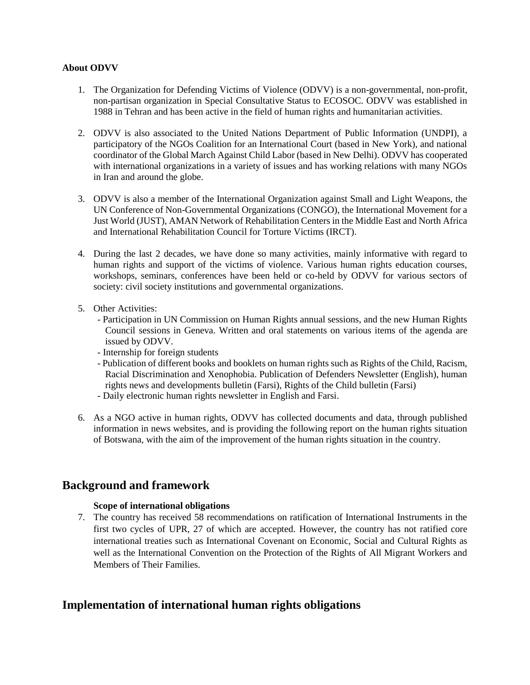#### **About ODVV**

- 1. The Organization for Defending Victims of Violence (ODVV) is a non-governmental, non-profit, non-partisan organization in Special Consultative Status to ECOSOC. ODVV was established in 1988 in Tehran and has been active in the field of human rights and humanitarian activities.
- 2. ODVV is also associated to the United Nations Department of Public Information (UNDPI), a participatory of the NGOs Coalition for an International Court (based in New York), and national coordinator of the Global March Against Child Labor (based in New Delhi). ODVV has cooperated with international organizations in a variety of issues and has working relations with many NGOs in Iran and around the globe.
- 3. ODVV is also a member of the International Organization against Small and Light Weapons, the UN Conference of Non-Governmental Organizations (CONGO), the International Movement for a Just World (JUST), AMAN Network of Rehabilitation Centers in the Middle East and North Africa and International Rehabilitation Council for Torture Victims (IRCT).
- 4. During the last 2 decades, we have done so many activities, mainly informative with regard to human rights and support of the victims of violence. Various human rights education courses, workshops, seminars, conferences have been held or co-held by ODVV for various sectors of society: civil society institutions and governmental organizations.
- 5. Other Activities:
	- Participation in UN Commission on Human Rights annual sessions, and the new Human Rights Council sessions in Geneva. Written and oral statements on various items of the agenda are issued by ODVV.
	- Internship for foreign students
	- Publication of different books and booklets on human rights such as Rights of the Child, Racism, Racial Discrimination and Xenophobia. Publication of Defenders Newsletter (English), human rights news and developments bulletin (Farsi), Rights of the Child bulletin (Farsi)
	- Daily electronic human rights newsletter in English and Farsi.
- 6. As a NGO active in human rights, ODVV has collected documents and data, through published information in news websites, and is providing the following report on the human rights situation of Botswana, with the aim of the improvement of the human rights situation in the country.

# **Background and framework**

## **Scope of international obligations**

7. The country has received 58 recommendations on ratification of International Instruments in the first two cycles of UPR, 27 of which are accepted. However, the country has not ratified core international treaties such as International Covenant on Economic, Social and Cultural Rights as well as the International Convention on the Protection of the Rights of All Migrant Workers and Members of Their Families.

# **Implementation of international human rights obligations**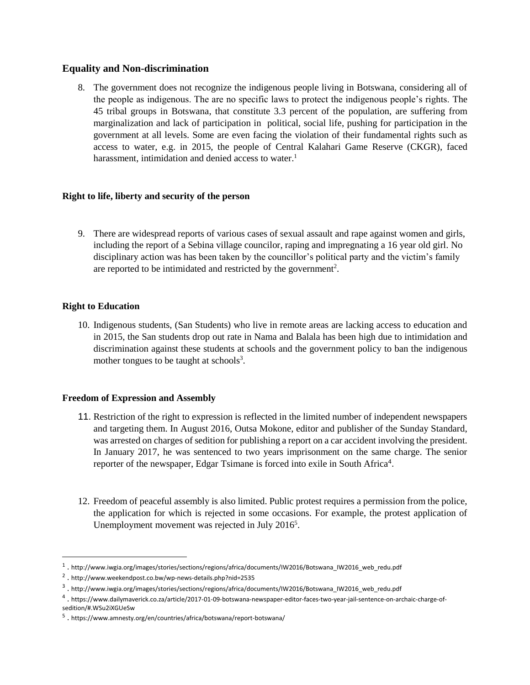# **Equality and Non-discrimination**

8. The government does not recognize the indigenous people living in Botswana, considering all of the people as indigenous. The are no specific laws to protect the indigenous people's rights. The 45 tribal groups in Botswana, that constitute 3.3 percent of the population, are suffering from marginalization and lack of participation in political, social life, pushing for participation in the government at all levels. Some are even facing the violation of their fundamental rights such as access to water, e.g. in 2015, the people of Central Kalahari Game Reserve (CKGR), faced harassment, intimidation and denied access to water.<sup>1</sup>

## **Right to life, liberty and security of the person**

9. There are widespread reports of various cases of sexual assault and rape against women and girls, including the report of a Sebina village councilor, raping and impregnating a 16 year old girl. No disciplinary action was has been taken by the councillor's political party and the victim's family are reported to be intimidated and restricted by the government<sup>2</sup>.

# **Right to Education**

 $\overline{\phantom{a}}$ 

10. Indigenous students, (San Students) who live in remote areas are lacking access to education and in 2015, the San students drop out rate in Nama and Balala has been high due to intimidation and discrimination against these students at schools and the government policy to ban the indigenous mother tongues to be taught at schools<sup>3</sup>.

## **Freedom of Expression and Assembly**

- 11. Restriction of the right to expression is reflected in the limited number of independent newspapers and targeting them. In August 2016, Outsa Mokone, editor and publisher of the Sunday Standard, was arrested on charges of sedition for publishing a report on a car accident involving the president. In January 2017, he was sentenced to two years imprisonment on the same charge. The senior reporter of the newspaper, Edgar Tsimane is forced into exile in South Africa<sup>4</sup>.
- 12. Freedom of peaceful assembly is also limited. Public protest requires a permission from the police, the application for which is rejected in some occasions. For example, the protest application of Unemployment movement was rejected in July 2016<sup>5</sup>.

 $^1$  . http://www.iwgia.org/images/stories/sections/regions/africa/documents/IW2016/Botswana\_IW2016\_web\_redu.pdf

<sup>2</sup> . http://www.weekendpost.co.bw/wp-news-details.php?nid=2535

<sup>&</sup>lt;sup>3</sup>.http://www.iwgia.org/images/stories/sections/regions/africa/documents/IW2016/Botswana\_IW2016\_web\_redu.pdf

<sup>&</sup>lt;sup>4</sup> . https://www.dailymaverick.co.za/article/2017-01-09-botswana-newspaper-editor-faces-two-year-jail-sentence-on-archaic-charge-ofsedition/#.WSu2iXGUeSw

<sup>5</sup> . https://www.amnesty.org/en/countries/africa/botswana/report-botswana/